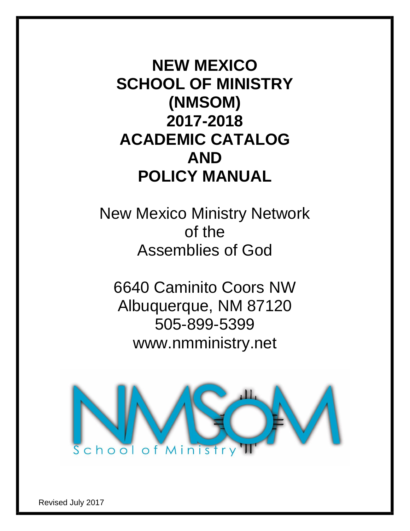**NEW MEXICO SCHOOL OF MINISTRY (NMSOM) 2017-2018 ACADEMIC CATALOG AND POLICY MANUAL**

New Mexico Ministry Network of the Assemblies of God

6640 Caminito Coors NW Albuquerque, NM 87120 505-899-5399 www.nmministry.net



Revised July 2017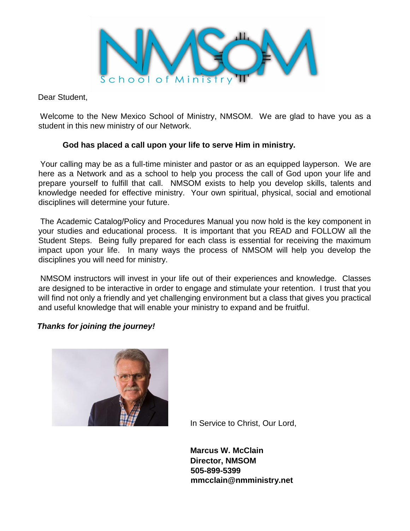

Dear Student,

Welcome to the New Mexico School of Ministry, NMSOM. We are glad to have you as a student in this new ministry of our Network.

## **God has placed a call upon your life to serve Him in ministry.**

Your calling may be as a full-time minister and pastor or as an equipped layperson. We are here as a Network and as a school to help you process the call of God upon your life and prepare yourself to fulfill that call. NMSOM exists to help you develop skills, talents and knowledge needed for effective ministry. Your own spiritual, physical, social and emotional disciplines will determine your future.

The Academic Catalog/Policy and Procedures Manual you now hold is the key component in your studies and educational process. It is important that you READ and FOLLOW all the Student Steps. Being fully prepared for each class is essential for receiving the maximum impact upon your life. In many ways the process of NMSOM will help you develop the disciplines you will need for ministry.

NMSOM instructors will invest in your life out of their experiences and knowledge. Classes are designed to be interactive in order to engage and stimulate your retention. I trust that you will find not only a friendly and yet challenging environment but a class that gives you practical and useful knowledge that will enable your ministry to expand and be fruitful.

## *Thanks for joining the journey!*



In Service to Christ, Our Lord,

 **Marcus W. McClain Director, NMSOM 505-899-5399 mmcclain@nmministry.net**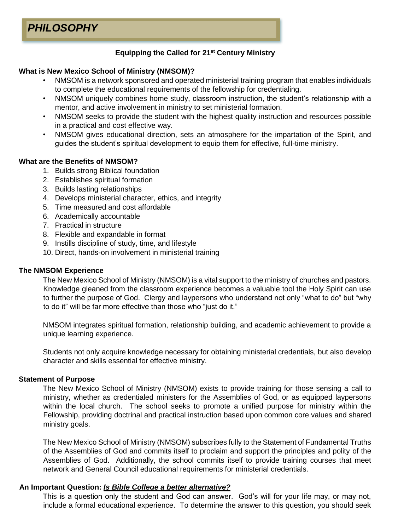## **Equipping the Called for 21st Century Ministry**

## **What is New Mexico School of Ministry (NMSOM)?**

- NMSOM is a network sponsored and operated ministerial training program that enables individuals to complete the educational requirements of the fellowship for credentialing.
- NMSOM uniquely combines home study, classroom instruction, the student's relationship with a mentor, and active involvement in ministry to set ministerial formation.
- NMSOM seeks to provide the student with the highest quality instruction and resources possible in a practical and cost effective way.
- NMSOM gives educational direction, sets an atmosphere for the impartation of the Spirit, and guides the student's spiritual development to equip them for effective, full-time ministry.

## **What are the Benefits of NMSOM?**

- 1. Builds strong Biblical foundation
- 2. Establishes spiritual formation
- 3. Builds lasting relationships
- 4. Develops ministerial character, ethics, and integrity
- 5. Time measured and cost affordable
- 6. Academically accountable
- 7. Practical in structure
- 8. Flexible and expandable in format
- 9. Instills discipline of study, time, and lifestyle
- 10. Direct, hands-on involvement in ministerial training

#### **The NMSOM Experience**

The New Mexico School of Ministry (NMSOM) is a vital support to the ministry of churches and pastors. Knowledge gleaned from the classroom experience becomes a valuable tool the Holy Spirit can use to further the purpose of God. Clergy and laypersons who understand not only "what to do" but "why to do it" will be far more effective than those who "just do it."

NMSOM integrates spiritual formation, relationship building, and academic achievement to provide a unique learning experience.

Students not only acquire knowledge necessary for obtaining ministerial credentials, but also develop character and skills essential for effective ministry.

#### **Statement of Purpose**

The New Mexico School of Ministry (NMSOM) exists to provide training for those sensing a call to ministry, whether as credentialed ministers for the Assemblies of God, or as equipped laypersons within the local church. The school seeks to promote a unified purpose for ministry within the Fellowship, providing doctrinal and practical instruction based upon common core values and shared ministry goals.

The New Mexico School of Ministry (NMSOM) subscribes fully to the Statement of Fundamental Truths of the Assemblies of God and commits itself to proclaim and support the principles and polity of the Assemblies of God. Additionally, the school commits itself to provide training courses that meet network and General Council educational requirements for ministerial credentials.

#### **An Important Question:** *Is Bible College a better alternative?*

This is a question only the student and God can answer. God's will for your life may, or may not, include a formal educational experience. To determine the answer to this question, you should seek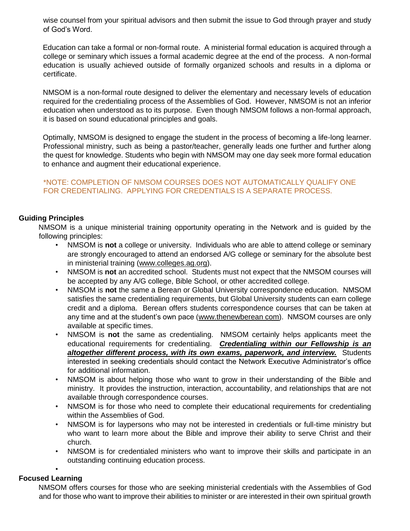wise counsel from your spiritual advisors and then submit the issue to God through prayer and study of God's Word.

Education can take a formal or non-formal route. A ministerial formal education is acquired through a college or seminary which issues a formal academic degree at the end of the process. A non-formal education is usually achieved outside of formally organized schools and results in a diploma or certificate.

NMSOM is a non-formal route designed to deliver the elementary and necessary levels of education required for the credentialing process of the Assemblies of God. However, NMSOM is not an inferior education when understood as to its purpose. Even though NMSOM follows a non-formal approach, it is based on sound educational principles and goals.

Optimally, NMSOM is designed to engage the student in the process of becoming a life-long learner. Professional ministry, such as being a pastor/teacher, generally leads one further and further along the quest for knowledge. Students who begin with NMSOM may one day seek more formal education to enhance and augment their educational experience.

## \*NOTE: COMPLETION OF NMSOM COURSES DOES NOT AUTOMATICALLY QUALIFY ONE FOR CREDENTIALING. APPLYING FOR CREDENTIALS IS A SEPARATE PROCESS.

## **Guiding Principles**

NMSOM is a unique ministerial training opportunity operating in the Network and is guided by the following principles:

- NMSOM is **not** a college or university. Individuals who are able to attend college or seminary are strongly encouraged to attend an endorsed A/G college or seminary for the absolute best in ministerial training (www.colleges.ag.org).
- NMSOM is **not** an accredited school. Students must not expect that the NMSOM courses will be accepted by any A/G college, Bible School, or other accredited college.
- NMSOM is **not** the same a Berean or Global University correspondence education. NMSOM satisfies the same credentialing requirements, but Global University students can earn college credit and a diploma. Berean offers students correspondence courses that can be taken at any time and at the student's own pace (www.thenewberean com). NMSOM courses are only available at specific times.
- NMSOM is **not** the same as credentialing. NMSOM certainly helps applicants meet the educational requirements for credentialing. *Credentialing within our Fellowship is an altogether different process, with its own exams, paperwork, and interview.* Students interested in seeking credentials should contact the Network Executive Administrator's office for additional information.
- NMSOM is about helping those who want to grow in their understanding of the Bible and ministry. It provides the instruction, interaction, accountability, and relationships that are not available through correspondence courses.
- NMSOM is for those who need to complete their educational requirements for credentialing within the Assemblies of God.
- NMSOM is for laypersons who may not be interested in credentials or full-time ministry but who want to learn more about the Bible and improve their ability to serve Christ and their church.
- NMSOM is for credentialed ministers who want to improve their skills and participate in an outstanding continuing education process.

#### • **Focused Learning**

NMSOM offers courses for those who are seeking ministerial credentials with the Assemblies of God and for those who want to improve their abilities to minister or are interested in their own spiritual growth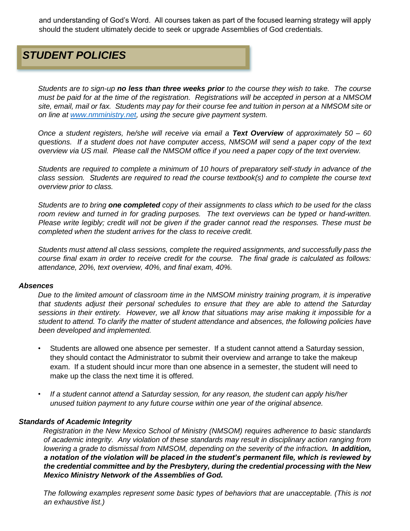and understanding of God's Word. All courses taken as part of the focused learning strategy will apply should the student ultimately decide to seek or upgrade Assemblies of God credentials.

# *STUDENT POLICIES*

*Students are to sign-up no less than three weeks prior to the course they wish to take. The course must be paid for at the time of the registration. Registrations will be accepted in person at a NMSOM site, email, mail or fax. Students may pay for their course fee and tuition in person at a NMSOM site or on line at [www.nmministry.net,](http://www.nmministry.net/) using the secure give payment system.* 

*Once a student registers, he/she will receive via email a Text Overview of approximately 50 – 60 questions. If a student does not have computer access, NMSOM will send a paper copy of the text overview via US mail. Please call the NMSOM office if you need a paper copy of the text overview.* 

*Students are required to complete a minimum of 10 hours of preparatory self-study in advance of the class session. Students are required to read the course textbook(s) and to complete the course text overview prior to class.* 

*Students are to bring one completed copy of their assignments to class which to be used for the class room review and turned in for grading purposes. The text overviews can be typed or hand-written. Please write legibly; credit will not be given if the grader cannot read the responses. These must be completed when the student arrives for the class to receive credit.*

*Students must attend all class sessions, complete the required assignments, and successfully pass the course final exam in order to receive credit for the course. The final grade is calculated as follows: attendance, 20%, text overview, 40%, and final exam, 40%.* 

#### *Absences*

*Due to the limited amount of classroom time in the NMSOM ministry training program, it is imperative that students adjust their personal schedules to ensure that they are able to attend the Saturday sessions in their entirety. However, we all know that situations may arise making it impossible for a student to attend. To clarify the matter of student attendance and absences, the following policies have been developed and implemented.* 

- Students are allowed one absence per semester. If a student cannot attend a Saturday session, they should contact the Administrator to submit their overview and arrange to take the makeup exam. If a student should incur more than one absence in a semester, the student will need to make up the class the next time it is offered.
- *If a student cannot attend a Saturday session, for any reason, the student can apply his/her unused tuition payment to any future course within one year of the original absence.*

#### *Standards of Academic Integrity*

*Registration in the New Mexico School of Ministry (NMSOM) requires adherence to basic standards of academic integrity. Any violation of these standards may result in disciplinary action ranging from lowering a grade to dismissal from NMSOM, depending on the severity of the infraction. In addition, a notation of the violation will be placed in the student's permanent file, which is reviewed by the credential committee and by the Presbytery, during the credential processing with the New Mexico Ministry Network of the Assemblies of God.*

*The following examples represent some basic types of behaviors that are unacceptable. (This is not an exhaustive list.)*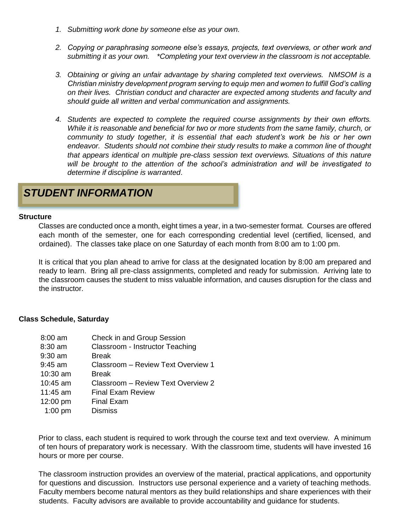- *1. Submitting work done by someone else as your own.*
- *2. Copying or paraphrasing someone else's essays, projects, text overviews, or other work and submitting it as your own. \*Completing your text overview in the classroom is not acceptable.*
- *3. Obtaining or giving an unfair advantage by sharing completed text overviews. NMSOM is a Christian ministry development program serving to equip men and women to fulfill God's calling on their lives. Christian conduct and character are expected among students and faculty and should guide all written and verbal communication and assignments.*
- *4. Students are expected to complete the required course assignments by their own efforts. While it is reasonable and beneficial for two or more students from the same family, church, or community to study together, it is essential that each student's work be his or her own endeavor. Students should not combine their study results to make a common line of thought that appears identical on multiple pre-class session text overviews. Situations of this nature will be brought to the attention of the school's administration and will be investigated to determine if discipline is warranted*.

## **STUDENT INFORMATION**

#### **Structure**

Classes are conducted once a month, eight times a year, in a two-semester format. Courses are offered each month of the semester, one for each corresponding credential level (certified, licensed, and ordained). The classes take place on one Saturday of each month from 8:00 am to 1:00 pm.

It is critical that you plan ahead to arrive for class at the designated location by 8:00 am prepared and ready to learn. Bring all pre-class assignments, completed and ready for submission. Arriving late to the classroom causes the student to miss valuable information, and causes disruption for the class and the instructor.

#### **Class Schedule, Saturday**

| $8:00$ am | Check in and Group Session         |
|-----------|------------------------------------|
| 8:30 am   | Classroom - Instructor Teaching    |
| 9:30 am   | <b>Break</b>                       |
| 9:45 am   | Classroom - Review Text Overview 1 |
| 10:30 am  | <b>Break</b>                       |
| 10:45 am  | Classroom - Review Text Overview 2 |
| 11:45 am  | <b>Final Exam Review</b>           |
| 12:00 pm  | <b>Final Exam</b>                  |
| $1:00$ pm | <b>Dismiss</b>                     |

Prior to class, each student is required to work through the course text and text overview. A minimum of ten hours of preparatory work is necessary. With the classroom time, students will have invested 16 hours or more per course.

The classroom instruction provides an overview of the material, practical applications, and opportunity for questions and discussion. Instructors use personal experience and a variety of teaching methods. Faculty members become natural mentors as they build relationships and share experiences with their students. Faculty advisors are available to provide accountability and guidance for students.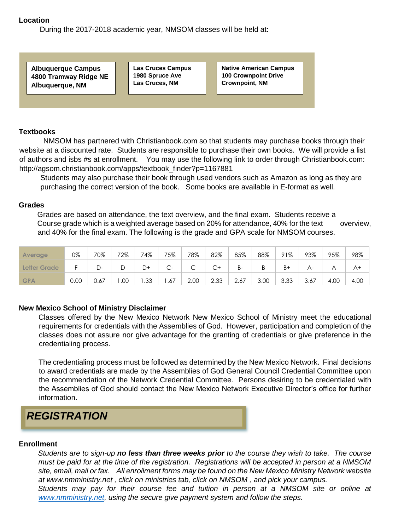#### **Location**

During the 2017-2018 academic year, NMSOM classes will be held at:

**Albuquerque Campus 4800 Tramway Ridge NE Albuquerque, NM** 

**Las Cruces Campus 1980 Spruce Ave Las Cruces, NM** 

**Native American Campus 100 Crownpoint Drive Crownpoint, NM** 

## **Textbooks**

NMSOM has partnered with Christianbook.com so that students may purchase books through their website at a discounted rate. Students are responsible to purchase their own books. We will provide a list of authors and isbs #s at enrollment. You may use the following link to order through Christianbook.com: http://agsom.christianbook.com/apps/textbook\_finder?p=1167881

Students may also purchase their book through used vendors such as Amazon as long as they are purchasing the correct version of the book. Some books are available in E-format as well.

#### **Grades**

Grades are based on attendance, the text overview, and the final exam. Students receive a Course grade which is a weighted average based on 20% for attendance, 40% for the text overview, and 40% for the final exam. The following is the grade and GPA scale for NMSOM courses.

| <b>Average</b> | 0%   | 70%  | 72% | 74% | 75%                                   | 78%                           | 82%         | 85%   | 88%  | 91%  | 93%   | 95%  | 98%  |
|----------------|------|------|-----|-----|---------------------------------------|-------------------------------|-------------|-------|------|------|-------|------|------|
| Letter Grade   |      | D-   |     | D+  | $\widehat{\phantom{1}}$<br>$\sim$ $-$ | $\overline{\phantom{0}}$<br>◡ | $\sim$<br>◡ | $B -$ | Β    | $B+$ | $A -$ |      | A+   |
| <b>GPA</b>     | 0.00 | 0.67 | .00 | .33 | .67                                   | 2.00                          | 2.33        | 2.67  | 3.00 | 3.33 | 3.67  | 4.00 | 4.00 |

#### **New Mexico School of Ministry Disclaimer**

Classes offered by the New Mexico Network New Mexico School of Ministry meet the educational requirements for credentials with the Assemblies of God. However, participation and completion of the classes does not assure nor give advantage for the granting of credentials or give preference in the credentialing process.

The credentialing process must be followed as determined by the New Mexico Network. Final decisions to award credentials are made by the Assemblies of God General Council Credential Committee upon the recommendation of the Network Credential Committee. Persons desiring to be credentialed with the Assemblies of God should contact the New Mexico Network Executive Director's office for further information.



#### **Enrollment**

*Students are to sign-up no less than three weeks prior to the course they wish to take. The course must be paid for at the time of the registration. Registrations will be accepted in person at a NMSOM site, email, mail or fax. All enrollment forms may be found on the New Mexico Ministry Network website at www.nmministry.net , click on ministries tab, click on NMSOM , and pick your campus. Students may pay for their course fee and tuition in person at a NMSOM site or online at* 

*[www.nmministry.net,](http://www.nmministry.net/) using the secure give payment system and follow the steps.*